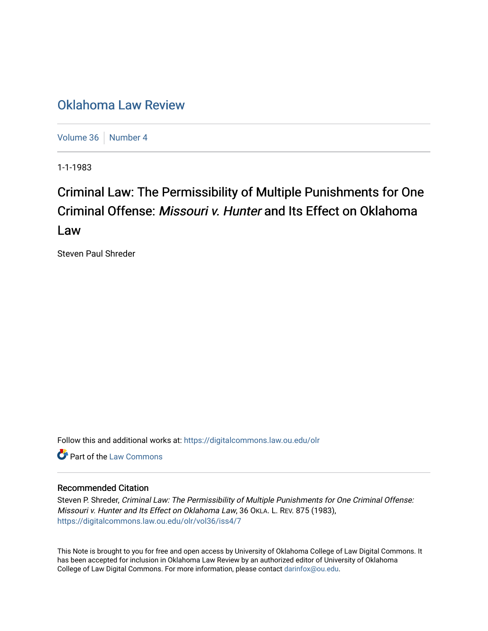## [Oklahoma Law Review](https://digitalcommons.law.ou.edu/olr)

[Volume 36](https://digitalcommons.law.ou.edu/olr/vol36) | [Number 4](https://digitalcommons.law.ou.edu/olr/vol36/iss4)

1-1-1983

# Criminal Law: The Permissibility of Multiple Punishments for One Criminal Offense: Missouri v. Hunter and Its Effect on Oklahoma Law

Steven Paul Shreder

Follow this and additional works at: [https://digitalcommons.law.ou.edu/olr](https://digitalcommons.law.ou.edu/olr?utm_source=digitalcommons.law.ou.edu%2Folr%2Fvol36%2Fiss4%2F7&utm_medium=PDF&utm_campaign=PDFCoverPages)

**C** Part of the [Law Commons](http://network.bepress.com/hgg/discipline/578?utm_source=digitalcommons.law.ou.edu%2Folr%2Fvol36%2Fiss4%2F7&utm_medium=PDF&utm_campaign=PDFCoverPages)

### Recommended Citation

Steven P. Shreder, Criminal Law: The Permissibility of Multiple Punishments for One Criminal Offense: Missouri v. Hunter and Its Effect on Oklahoma Law, 36 OKLA. L. REV. 875 (1983), [https://digitalcommons.law.ou.edu/olr/vol36/iss4/7](https://digitalcommons.law.ou.edu/olr/vol36/iss4/7?utm_source=digitalcommons.law.ou.edu%2Folr%2Fvol36%2Fiss4%2F7&utm_medium=PDF&utm_campaign=PDFCoverPages) 

This Note is brought to you for free and open access by University of Oklahoma College of Law Digital Commons. It has been accepted for inclusion in Oklahoma Law Review by an authorized editor of University of Oklahoma College of Law Digital Commons. For more information, please contact [darinfox@ou.edu.](mailto:darinfox@ou.edu)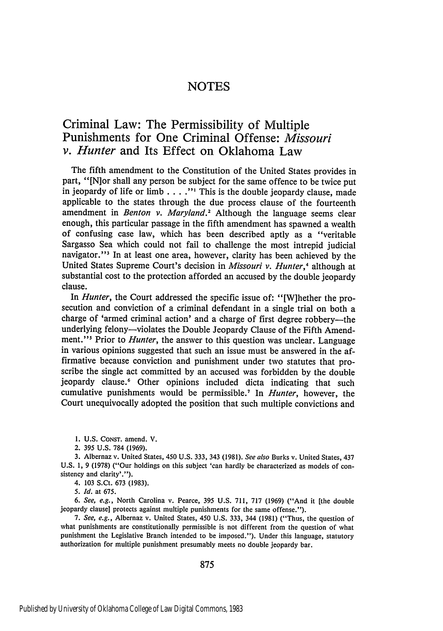## **NOTES**

## Criminal Law: The Permissibility of Multiple Punishments for One Criminal Offense: *Missouri v. Hunter* and Its Effect on Oklahoma Law

The fifth amendment to the Constitution of the United States provides in part, "[Nior shall any person be subject for the same offence to be twice put in jeopardy of life or limb . **. . ." '** This is the double jeopardy clause, made applicable to the states through the due process clause of the fourteenth amendment in *Benton v. Maryland*.<sup>2</sup> Although the language seems clear enough, this particular passage in the fifth amendment has spawned a wealth of confusing case law, which has been described aptly as a "veritable Sargasso Sea which could not fail to challenge the most intrepid judicial navigator."<sup>3</sup> In at least one area, however, clarity has been achieved by the United States Supreme Court's decision in *Missouri v. Hunter,<sup>4</sup>*although at substantial cost to the protection afforded an accused by the double jeopardy clause.

In *Hunter,* the Court addressed the specific issue of: "[W]hether the prosecution and conviction of a criminal defendant in a single trial on both a charge of 'armed criminal action' and a charge of first degree robbery-the underlying felony—violates the Double Jeopardy Clause of the Fifth Amendment."<sup>5</sup> Prior to *Hunter*, the answer to this question was unclear. Language in various opinions suggested that such an issue must be answered in the affirmative because conviction and punishment under two statutes that proscribe the single act committed **by** an accused was forbidden **by** the double jeopardy clause.<sup>6</sup> Other opinions included dicta indicating that such cumulative punishments would be permissible.<sup>7</sup>In *Hunter,* however, the Court unequivocally adopted the position that such multiple convictions and

**1.** U.S. **CoNsr.** amend. V.

2. 395 U.S. 784 (1969).

3. Albernaz v. United States, 450 U.S. **333,** 343 (1981). *See also* Burks v. United States, 437 U.S. 1, 9 (1978) ("Our holdings on this subject 'can hardly be characterized as models of consistency and clarity'.").

4. 103 S.Ct. 673 (1983).

*5. Id.* at 675.

*6. See, e.g.,* North Carolina v. Pearce, 395 U.S. 711, 717 (1969) ("And it [the double jeopardy clause] protects against multiple punishments for the same offense.").

*7. See, e.g.,* Albernaz v. United States, 450 U.S. 333, 344 (1981) ("Thus, the question of what punishments are constitutionally permissible is not different from the question of what punishment the Legislative Branch intended to be imposed."). Under this language, statutory authorization for multiple punishment presumably meets no double jeopardy bar.

875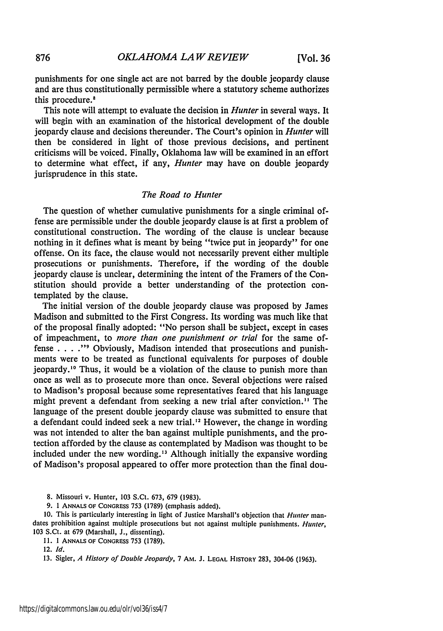punishments for one single act are not barred **by** the double jeopardy clause and are thus constitutionally permissible where a statutory scheme authorizes this procedure.<sup>8</sup>

This note will attempt to evaluate the decision in *Hunter* in several ways. It will begin with an examination of the historical development of the double jeopardy clause and decisions thereunder. The Court's opinion in *Hunter* will then be considered in light of those previous decisions, and pertinent criticisms will be voiced. Finally, Oklahoma law will be examined in an effort to determine what effect, if any, *Hunter* may have on double jeopardy jurisprudence in this state.

#### *The Road to Hunter*

The question of whether cumulative punishments for a single criminal offense are permissible under the double jeopardy clause is at first a problem of constitutional construction. The wording of the clause is unclear because nothing in it defines what is meant by being "twice put in jeopardy" for one offense. On its face, the clause would not necessarily prevent either multiple prosecutions or punishments. Therefore, if the wording of the double jeopardy clause is unclear, determining the intent of the Framers of the Constitution should provide a better understanding of the protection contemplated by the clause.

The initial version of the double jeopardy clause was proposed by James Madison and submitted to the First Congress. Its wording was much like that of the proposal finally adopted: "No person shall be subject, except in cases of impeachment, to *more than one punishment or trial* for the same offense . **. . ."9** Obviously, Madison intended that prosecutions and punishments were to be treated as functional equivalents for purposes of double jeopardy."° Thus, it would be a violation of the clause to punish more than once as well as to prosecute more than once. Several objections were raised to Madison's proposal because some representatives feared that his language might prevent a defendant from seeking a new trial after conviction." The language of the present double jeopardy clause was submitted to ensure that a defendant could indeed seek a new trial.<sup>12</sup> However, the change in wording was not intended to alter the ban against multiple punishments, and the protection afforded by the clause as contemplated by Madison was thought to be included under the new wording." Although initially the expansive wording of Madison's proposal appeared to offer more protection than the final dou-

8. Missouri v. Hunter, 103 S.Ct. 673, 679 (1983).

**9.** 1 **ANNALS** OF CONGRESS **753 (1789)** (emphasis added).

10. This is particularly interesting in light of Justice Marshall's objection that *Hunter* mandates prohibition against multiple prosecutions but not against multiple punishments. *Hunter,* 103 S.Ct. at 679 (Marshall, J., dissenting).

11. **1** ANNALS OF CONGRESS 753 (1789).

13. Sigler, *A History of Double Jeopardy,* 7 Am. J. **LEGAL** HISTORY 283, 304-06 (1963).

<sup>12.</sup> *Id.*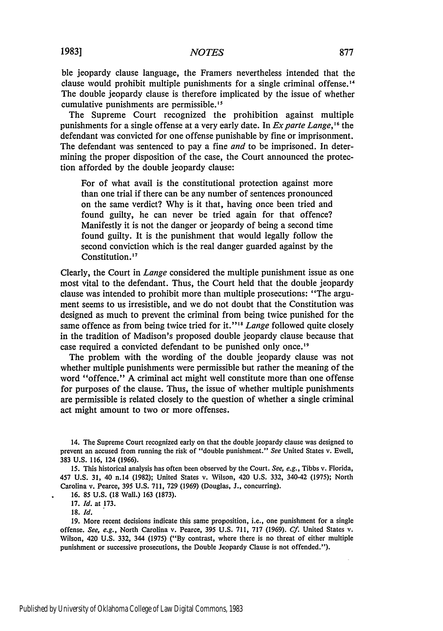ble jeopardy clause language, the Framers nevertheless intended that the clause would prohibit multiple punishments for a single criminal offense.<sup>14</sup> The double jeopardy clause is therefore implicated by the issue of whether cumulative punishments are permissible.<sup>15</sup>

The Supreme Court recognized the prohibition against multiple punishments for a single offense at a very early date. In *Exparte Lange,'<sup>6</sup>*the defendant was convicted for one offense punishable by fine or imprisonment. The defendant was sentenced to pay a fine *and* to be imprisoned. In determining the proper disposition of the case, the Court announced the protection afforded by the double jeopardy clause:

For of what avail is the constitutional protection against more than one trial if there can be any number of sentences pronounced on the same verdict? Why is it that, having once been tried and found guilty, he can never be tried again for that offence? Manifestly it is not the danger or jeopardy of being a second time found guilty. It is the punishment that would legally follow the second conviction which is the real danger guarded against by the Constitution. **'"**

Clearly, the Court in *Lange* considered the multiple punishment issue as one most vital to the defendant. Thus, the Court held that the double jeopardy clause was intended to prohibit more than multiple prosecutions: "The argument seems to us irresistible, and we do not doubt that the Constitution was designed as much to prevent the criminal from being twice punished for the same offence as from being twice tried for it."<sup>18</sup> Lange followed quite closely in the tradition of Madison's proposed double jeopardy clause because that case required a convicted defendant to be punished only once.<sup>19</sup>

The problem with the wording of the double jeopardy clause was not whether multiple punishments were permissible but rather the meaning of the word "offence." A criminal act might well constitute more than one offense for purposes of the clause. Thus, the issue of whether multiple punishments are permissible is related closely to the question of whether a single criminal act might amount to two or more offenses.

15. This historical analysis has often been observed by the Court. See, e.g., Tibbs v. Florida, 457 U.S. 31, 40 n.14 (1982); United States v. Wilson, 420 U.S. 332, 340-42 **(1975);** North Carolina v. Pearce, 395 U.S. 711, 729 (1969) (Douglas, J., concurring).

16. 85 U.S. (18 Wall.) 163 (1873).

17. Id. at 173.

18. **Id.**

19. More recent decisions indicate this same proposition, i.e., one punishment for a single offense. See, e.g., North Carolina v. Pearce, 395 U.S. 711, 717 (1969). Cf. United States v. Wilson, 420 U.S. 332, 344 **(1975)** ("By contrast, where there is no threat of either multiple punishment or successive prosecutions, the Double Jeopardy Clause is not offended.").

<sup>14.</sup> The Supreme Court recognized early on that the double jeopardy clause was designed to prevent an accused from running the risk of "double punishment." *See* United States v. Ewell, 383 U.S. 116, 124 (1966).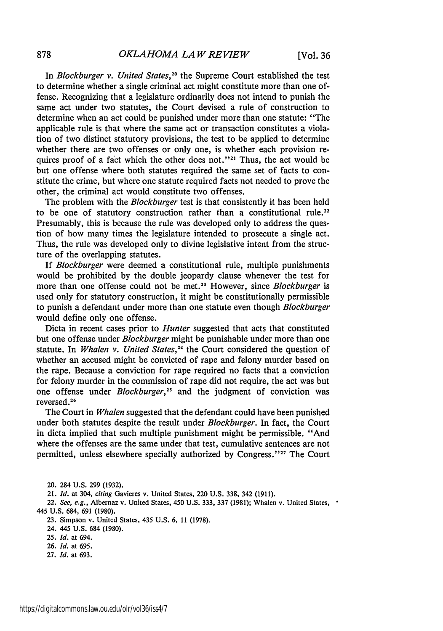In *Blockburger v. United States,2<sup>0</sup>*the Supreme Court established the test to determine whether a single criminal act might constitute more than one offense. Recognizing that a legislature ordinarily does not intend to punish the same act under two statutes, the Court devised a rule of construction to determine when an act could be punished under more than one statute: "The applicable rule is that where the same act or transaction constitutes a violation of two distinct statutory provisions, the test to be applied to determine whether there are two offenses or only one, is whether each provision requires proof of a fact which the other does not."<sup>21</sup> Thus, the act would be but one offense where both statutes required the same set of facts to constitute the crime, but where one statute required facts not needed to prove the other, the criminal act would constitute two offenses.

The problem with the *Blockburger* test is that consistently it has been held to be one of statutory construction rather than a constitutional rule.<sup>22</sup> Presumably, this is because the rule was developed only to address the question of how many times the legislature intended to prosecute a single act. Thus, the rule was developed only to divine legislative intent from the structure of the overlapping statutes.

If *Blockburger* were deemed a constitutional rule, multiple punishments would be prohibited by the double jeopardy clause whenever the test for more than one offense could not be met.<sup>23</sup> However, since *Blockburger* is used only for statutory construction, it might be constitutionally permissible to punish a defendant under more than one statute even though *Blockburger* would define only one offense.

Dicta in recent cases prior to *Hunter* suggested that acts that constituted but one offense under *Blockburger* might be punishable under more than one statute. In *Whalen v. United States,24* the Court considered the question of whether an accused might be convicted of rape and felony murder based on the rape. Because a conviction for rape required no facts that a conviction for felony murder in the commission of rape did not require, the act was but one offense under *Blockburger,25* and the judgment of conviction was reversed.<sup>26</sup>

The Court in *Whalen* suggested that the defendant could have been punished under both statutes despite the result under *Blockburger.* In fact, the Court in dicta implied that such multiple punishment might be permissible. "And where the offenses are the same under that test, cumulative sentences are not permitted, unless elsewhere specially authorized by Congress."<sup>27</sup> The Court

22. *See, e.g.,* Albernaz v. United States, 450 U.S. 333, 337 (1981); Whalen v. United States, 445 U.S. 684, 691 (1980).

23. Simpson v. United States, 435 U.S. 6, 11 (1978).

24. 445 U.S. 684 (1980).

25. *Id.* at 694.

26. *Id.* at 695.

27. *Id.* at 693.

<sup>20. 284</sup> U.S. 299 (1932).

<sup>21.</sup> *Id.* at 304, citing Gavieres v. United States, 220 U.S. 338, 342 (1911).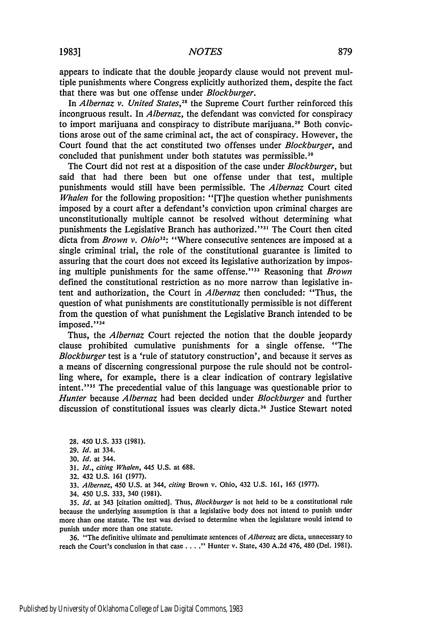appears to indicate that the double jeopardy clause would not prevent multiple punishments where Congress explicitly authorized them, despite the fact that there was but one offense under *Blockburger.*

In *Albernaz v. United States,28* the Supreme Court further reinforced this incongruous result. In *Albernaz,* the defendant was convicted for conspiracy to import marijuana and conspiracy to distribute marijuana.<sup>29</sup> Both convictions arose out of the same criminal act, the act of conspiracy. However, the Court found that the act constituted two offenses under *Blockburger,* and concluded that punishment under both statutes was permissible.<sup>30</sup>

The Court did not rest at a disposition of the case under *Blockburger,* but said that had there been but one offense under that test, multiple punishments would still have been permissible. The *Albernaz* Court cited *Whalen* for the following proposition: "[T]he question whether punishments imposed by a court after a defendant's conviction upon criminal charges are unconstitutionally multiple cannot be resolved without determining what punishments the Legislative Branch has authorized."<sup>31</sup> The Court then cited dicta from *Brown v. Ohio<sup>32</sup> :* "Where consecutive sentences are imposed at a single criminal trial, the role of the constitutional guarantee is limited to assuring that the court does not exceed its legislative authorization by imposing multiple punishments for the same offense."<sup>33</sup> Reasoning that *Brown* defined the constitutional restriction as no more narrow than legislative intent and authorization, the Court in *Albernaz* then concluded: "Thus, the question of what punishments are constitutionally permissible is not different from the question of what punishment the Legislative Branch intended to be imposed."<sup>34</sup>

Thus, the *Albernaz* Court rejected the notion that the double jeopardy clause prohibited cumulative punishments for a single offense. "The Blockburger test is a 'rule of statutory construction', and because it serves as a means of discerning congressional purpose the rule should not be controlling where, for example, there is a clear indication of contrary legislative intent."<sup>35</sup> The precedential value of this language was questionable prior to *Hunter* because *Albernaz* had been decided under *Blockburger* and further discussion of constitutional issues was clearly dicta.<sup>36</sup> Justice Stewart noted

31. *Id., citing Whalen,* 445 U.S. at 688.

32. 432 U.S. 161 (1977).

33. *Albernaz, 450* U.S. at 344, *citing* Brown v. Ohio, 432 U.S. 161, 165 (1977).

34. 450 U.S. 333, 340 (1981).

**35.** *Id.* at 343 [citation omitted]. Thus, *Blockburger* is not held to be a constitutional rule because the underlying assumption is that a legislative body does not intend to punish under more than one statute. The test was devised to determine when the legislature would intend to punish under more than one statute.

**36.** "The definitive ultimate and penultimate sentences of *Albernaz* are dicta, unnecessary to reach the Court's conclusion in that case **....** Hunter v. State, 430 A.2d 476, 480 (Del. 1981).

<sup>28. 450</sup> U.S. 333 (1981).

<sup>29.</sup> **Id.** at 334.

**<sup>30.</sup>** *Id.* **at** 344.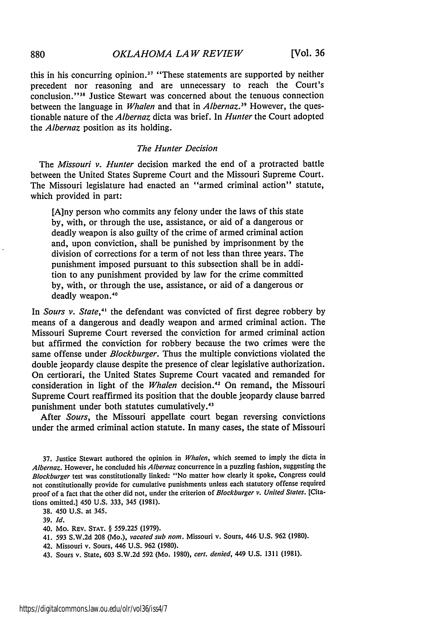**[Vol. 36**

this in his concurring opinion.<sup>37</sup> "These statements are supported by neither precedent nor reasoning and are unnecessary to reach the Court's conclusion."<sup>38</sup> Justice Stewart was concerned about the tenuous connection between the language in *Whalen* and that in *Albernaz*.<sup>39</sup> However, the questionable nature of the *Albernaz* dicta was brief. In *Hunter* the Court adopted the *Albernaz* position as its holding.

#### *The Hunter Decision*

The *Missouri v. Hunter* decision marked the end of a protracted battle between the United States Supreme Court and the Missouri Supreme Court. The Missouri legislature had enacted an "armed criminal action" statute, which provided in part:

[A]ny person who commits any felony under the laws of this state by, with, or through the use, assistance, or aid of a dangerous or deadly weapon is also guilty of the crime of armed criminal action and, upon conviction, shall be punished by imprisonment by the division of corrections for a term of not less than three years. The punishment imposed pursuant to this subsection shall be in addition to any punishment provided by law for the crime committed by, with, or through the use, assistance, or aid of a dangerous or deadly weapon.<sup>40</sup>

In *Sours v. State*,<sup>41</sup> the defendant was convicted of first degree robbery by means of a dangerous and deadly weapon and armed criminal action. The Missouri Supreme Court reversed the conviction for armed criminal action but affirmed the conviction for robbery because the two crimes were the same offense under *Blockburger.* Thus the multiple convictions violated the double jeopardy clause despite the presence of clear legislative authorization. On certiorari, the United States Supreme Court vacated and remanded for consideration in light of the *Whalen* decision.<sup>42</sup> On remand, the Missouri Supreme Court reaffirmed its position that the double jeopardy clause barred punishment under both statutes cumulatively.<sup>43</sup>

After *Sours,* the Missouri appellate court began reversing convictions under the armed criminal action statute. In many cases, the state of Missouri

37. Justice Stewart authored the opinion in *Whalen,* which seemed to imply the dicta in *Albernaz.* However, he concluded his *Albernaz* concurrence in a puzzling fashion, suggesting the *Blockburger* test was constitutionally linked. "No matter how clearly it spoke, Congress could not constitutionally provide for cumulative punishments unless each statutory offense required proof of a fact that the other did not, under the criterion of *Blockburger v. United States.* [Citations omitted.] 450 U.S. 333, 345 (1981).

38. 450 U.S. at 345.

39. *Id.*

40. Mo. REV. STAT. § 559.225 **(1979).**

41. 593 S.W.2d 208 (Mo.), *vacated sub nom.* Missouri v. Sours, 446 U.S. 962 (1980).

- 42. Missouri v. Sours, 446 U.S. 962 (1980).
- 43. Sours v. State, 603 S.W.2d 592 (Mo. 1980), *cert. denied,* 449 U.S. 1311 (1981).

880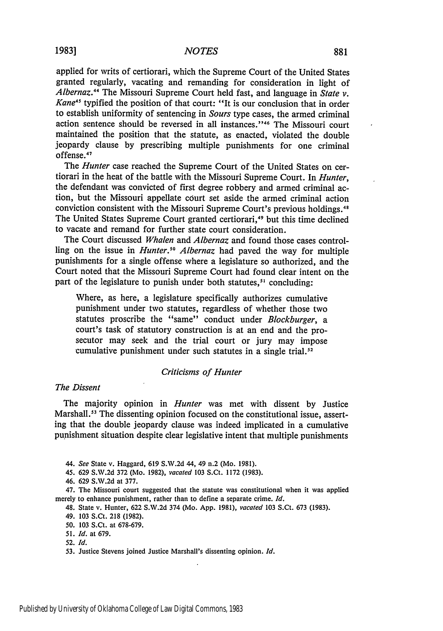applied for writs of certiorari, which the Supreme Court of the United States granted regularly, vacating and remanding for consideration in light of *Albernaz.<sup>44</sup>*The Missouri Supreme Court held fast, and language in *State v. Kane<sup>45</sup>* typified the position of that court: "It is our conclusion that in order to establish uniformity of sentencing in *Sours* type cases, the armed criminal action sentence should be reversed in all instances."<sup>46</sup> The Missouri court maintained the position that the statute, as enacted, violated the double jeopardy clause by prescribing multiple punishments for one criminal offense.<sup>47</sup>

The *Hunter* case reached the Supreme Court of the United States on certiorari in the heat of the battle with the Missouri Supreme Court. In *Hunter,* the defendant was convicted of first degree robbery and armed criminal action, but the Missouri appellate court set aside the armed criminal action conviction consistent with the Missouri Supreme Court's previous holdings.<sup>48</sup> The United States Supreme Court granted certiorari,<sup>49</sup> but this time declined to vacate and remand for further state court consideration.

The Court discussed *Whalen* and *Albernaz* and found those cases controlling on the issue in *Hunter*.<sup>50</sup> Albernaz had paved the way for multiple punishments for a single offense where a legislature so authorized, and the Court noted that the Missouri Supreme Court had found clear intent on the part of the legislature to punish under both statutes,<sup>51</sup> concluding

Where, as here, a legislature specifically authorizes cumulative punishment under two statutes, regardless of whether those two statutes proscribe the "same" conduct under *Blockburger, a* court's task of statutory construction is at an end and the prosecutor may seek and the trial court or jury may impose cumulative punishment under such statutes in a single trial.<sup>52</sup>

#### *Criticisms of Hunter*

#### *The Dissent*

The majority opinion in *Hunter* was met with dissent by Justice Marshall.<sup>53</sup> The dissenting opinion focused on the constitutional issue, asserting that the double jeopardy clause was indeed implicated in a cumulative punishment situation despite clear legislative intent that multiple punishments

*44. See* State v. Haggard, 619 S.W.2d 44, 49 n.2 (Mo. 1981).

45. 629 S.W.2d 372 (Mo. 1982), *vacated* 103 S.Ct. 1172 (1983).

46. 629 S.W.2d at 377.

47. The Missouri court suggested that the statute was constitutional when it was applied merely to enhance punishment, rather than to define a separate crime. *Id.*

- 48. State v. Hunter, 622 S.W.2d 374 (Mo. App. 1981), *vacated* 103 S.Ct. 673 (1983).
- 49. 103 S.Ct. 218 (1982).
- *50.* 103 S.Ct. at 678-679.
- *51. Id.* at 679.
- **52.** *Id.*
- **53.** Justice Stevens joined Justice Marshall's dissenting opinion. *Id.*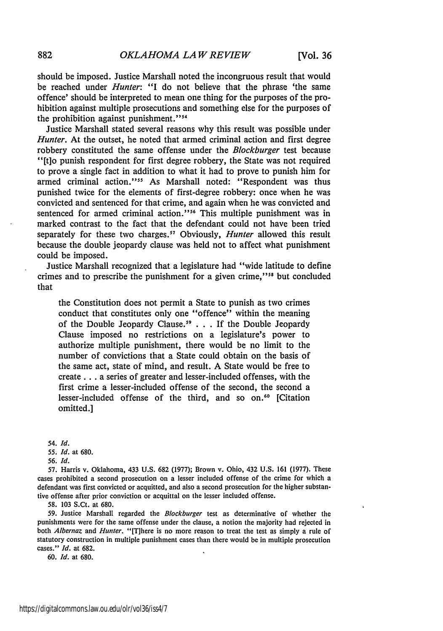should be imposed. Justice Marshall noted the incongruous result that would be reached under *Hunter:* "I do not believe that the phrase 'the same offence' should be interpreted to mean one thing for the purposes of the prohibition against multiple prosecutions and something else for the purposes of the prohibition against punishment."<sup>54</sup>

Justice Marshall stated several reasons why this result was possible under *Hunter*. At the outset, he noted that armed criminal action and first degree robbery constituted the same offense under the *Blockburger* test because "[tlo punish respondent for first degree robbery, the State was not required to prove a single fact in addition to what it had to prove to punish him for armed criminal action."<sup>55</sup> As Marshall noted: "Respondent was thus punished twice for the elements of first-degree robbery: once when he was convicted and sentenced for that crime, and again when he was convicted and sentenced for armed criminal action."<sup>56</sup> This multiple punishment was in marked contrast to the fact that the defendant could not have been tried separately for these two charges.<sup>57</sup> Obviously, *Hunter* allowed this result because the double jeopardy clause was held not to affect what punishment could be imposed.

Justice Marshall recognized that a legislature had "wide latitude to define crimes and to prescribe the punishment for a given crime,"<sup>58</sup> but concluded that

the Constitution does not permit a State to punish as two crimes conduct that constitutes only one "offence" within the meaning of the Double Jeopardy Clause.<sup>59</sup> . . . If the Double Jeopardy Clause imposed no restrictions on a legislature's power to authorize multiple punishment, there would be no limit to the number of convictions that a State could obtain on the basis of the same act, state of mind, and result. A State would be free to create **...** a series of greater and lesser-included offenses, with the first crime a lesser-included offense of the second, the second a lesser-included offense of the third, and so on.<sup>60</sup> [Citation omitted.]

*54. Id.*

*55. Id.* at 680.

*56. Id.*

57. Harris v. Oklahoma, 433 U.S. 682 (1977); Brown v. Ohio, 432 U.S. 161 (1977). These cases prohibited a second prosecution on a lesser included offense of the crime for which a defendant was first convicted or acquitted, and also a second prosecution for the higher substantive offense after prior conviction or acquittal on the lesser included offense.

58. 103 S.Ct. at 680.

**59.** Justice Marshall regarded the *Blockburger* test as determinative of whether the punishments were for the same offense under the clause, a notion the majority had rejected in both *Albernaz* and *Hunter.* "IT]here is no more reason to treat the test as simply a rule of statutory construction in multiple punishment cases than there would be in multiple prosecution cases." *Id.* at 682.

60. *Id.* at 680.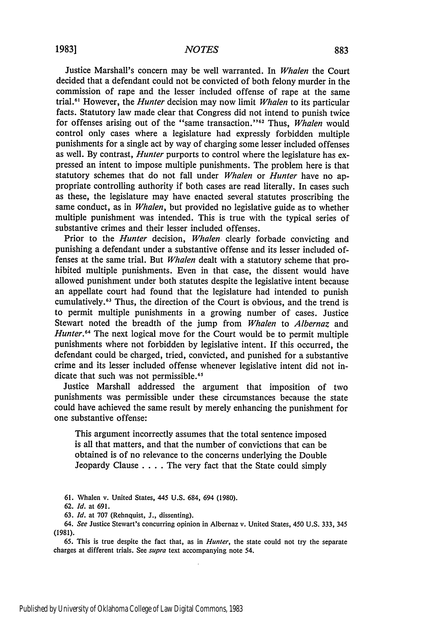#### *NOTES*

Justice Marshall's concern may be well warranted. In *Whalen* the Court decided that a defendant could not be convicted of both felony murder in the commission of rape and the lesser included offense of rape at the same trial.<sup>61</sup> However, the *Hunter* decision may now limit *Whalen* to its particular facts. Statutory law made clear that Congress did not intend to punish twice for offenses arising out of the "same transaction."<sup>62</sup> Thus, *Whalen* would control only cases where a legislature had expressly forbidden multiple punishments for a single act by way of charging some lesser included offenses as well. By contrast, *Hunter* purports to control where the legislature has expressed an intent to impose multiple punishments. The problem here is that statutory schemes that do not fall under *Whalen* or *Hunter* have no appropriate controlling authority if both cases are read literally. In cases such as these, the legislature may have enacted several statutes proscribing the same conduct, as in *Whalen,* but provided no legislative guide as to whether multiple punishment was intended. This is true with the typical series of substantive crimes and their lesser included offenses.

Prior to the *Hunter* decision, *Whalen,* clearly forbade convicting and punishing a defendant under a substantive offense and its lesser included offenses at the same trial. But *Whalen* dealt with a statutory scheme that prohibited multiple punishments. Even in that case, the dissent would have allowed punishment under both statutes despite the legislative intent because an appellate court had found that the legislature had intended to punish cumulatively.<sup>63</sup> Thus, the direction of the Court is obvious, and the trend is to permit multiple punishments in a growing number of cases. Justice Stewart noted the breadth of the jump from *Whalen* to *Albernaz* and *Hunter.*<sup>64</sup> The next logical move for the Court would be to permit multiple punishments where not forbidden by legislative intent. If this occurred, the defendant could be charged, tried, convicted, and punished for a substantive crime and its lesser included offense whenever legislative intent did not indicate that such was not permissible.<sup>65</sup>

Justice Marshall addressed the argument that imposition of two punishments was permissible under these circumstances because the state could have achieved the same result by merely enhancing the punishment for one substantive offense:

This argument incorrectly assumes that the total sentence imposed is all that matters, and that the number of convictions that can be obtained is of no relevance to the concerns underlying the Double Jeopardy Clause .**. .** .The very fact that the State could simply

**61.** Whalen v. United States, 445 U.S. 684, 694 (1980).

63. *Id.* at 707 (Rehnquist, J., dissenting).

64. *See* Justice Stewart's concurring opinion in Albernaz v. United States, 450 U.S. 333, 345 (1981).

65. This is true despite the fact that, as in *Hunter,* the state could not try the separate charges at different trials. See *supra* text accompanying note 54.

<sup>62.</sup> *Id.* at 691.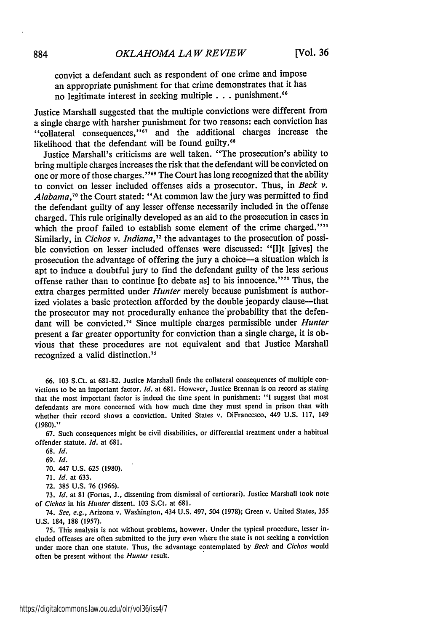convict a defendant such as respondent of one crime and impose an appropriate punishment for that crime demonstrates that it has no legitimate interest in seeking multiple **. . .** punishment."

Justice Marshall suggested that the multiple convictions were different from a single charge with harsher punishment for two reasons: each conviction has "collateral consequences,"<sup>67</sup> and the additional charges increase the likelihood that the defendant will be found guilty.<sup>68</sup>

Justice Marshall's criticisms are well taken. "The prosecution's ability to bring multiple charges increases the risk that the defendant will be convicted on one or more of those charges."<sup>69</sup> The Court has long recognized that the ability to convict on lesser included offenses aids a prosecutor. Thus, in *Beck v. Alabama,"'* the Court stated: "At common law the jury was permitted to find the defendant guilty of any lesser offense necessarily included in the offense charged. This rule originally developed as an aid to the prosecution in cases in which the proof failed to establish some element of the crime charged."<sup>11</sup> Similarly, in *Cichos v. Indiana*,<sup>72</sup> the advantages to the prosecution of possible conviction on lesser included offenses were discussed: "[lit [gives] the prosecution the advantage of offering the jury a choice-a situation which is apt to induce a doubtful jury to find the defendant guilty of the less serious offense rather than to continue [to debate as] to his innocence."<sup>73</sup> Thus, the extra charges permitted under *Hunter* merely because punishment is authorized violates a basic protection afforded by the double jeopardy clause-that the prosecutor may not procedurally enhance the'probability that the defendant will be convicted.<sup>74</sup> Since multiple charges permissible under *Hunter* present a far greater opportunity for conviction than a single charge, it is obvious that these procedures are not equivalent and that Justice Marshall recognized a valid distinction. <sup>7</sup><sup>5</sup>

66. 103 S.Ct. at 681-82. Justice Marshall finds the collateral consequences of multiple convictions to be an important factor. *Id.* at 681. However, Justice Brennan is on record as stating that the most important factor is indeed the time spent in punishment: "1 suggest that most defendants are more concerned with how much time they must spend in prison than with whether their record shows a conviction. United States v. DiFrancesco, 449 U.S. 117, 149 (1980)."

67. Such consequences might be civil disabilities, or differential treatment under a habitual offender statute. *Id.* at 681.

70. 447 U.S. 625 (1980).

71. **Id.** at 633.

72. 385 U.S. 76 (1965).

73. *Id.* at 81 (Fortas, J., dissenting from dismissal of certiorari). Justice Marshall took note of Cichos in his *Hunter* dissent. 103 S.Ct. at 681.

74. See, e.g., Arizona v. Washington, 434 U.S. 497, 504 (1978); Green v. United States, 355 U.S. 184, 188 (1957).

75. This analysis is not without problems, however. Under the typical procedure, lesser included offenses are often submitted to the jury even where the state is not seeking a conviction under more than one statute. Thus, the advantage contemplated by *Beck* and *Cichos* would often be present without the *Hunter* result.

**<sup>68.</sup>** *Id.*

<sup>69.</sup> **Id.**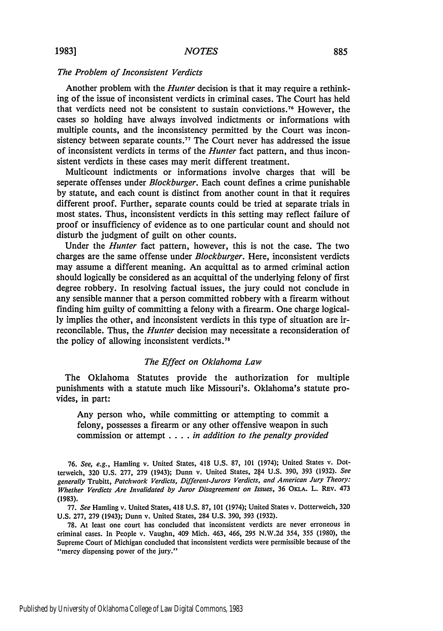#### *The Problem of Inconsistent Verdicts*

Another problem with the *Hunter* decision is that it may require a rethinking of the issue of inconsistent verdicts in criminal cases. The Court has held that verdicts need not be consistent to sustain convictions.<sup>76</sup> However, the cases so holding have always involved indictments or informations with multiple counts, and the inconsistency permitted **by** the Court was inconsistency between separate counts.<sup>77</sup> The Court never has addressed the issue of inconsistent verdicts in terms of the *Hunter* fact pattern, and thus inconsistent verdicts in these cases may merit different treatment.

Multicount indictments or informations involve charges that will be seperate offenses under *Blockburger.* Each count defines a crime punishable **by** statute, and each count is distinct from another count in that it requires different proof. Further, separate counts could be tried at separate trials in most states. Thus, inconsistent verdicts in this setting may reflect failure of proof or insufficiency of evidence as to one particular count and should not disturb the judgment of guilt on other counts.

Under the *Hunter* fact pattern, however, this is not the case. The two charges are the same offense under *Blockburger.* Here, inconsistent verdicts may assume a different meaning. An acquittal as to armed criminal action should logically be considered as an acquittal of the underlying felony of first degree robbery. In resolving factual issues, the jury could not conclude in any sensible manner that a person committed robbery with a firearm without finding him guilty of committing a felony with a firearm. One charge logical**ly** implies the other, and inconsistent verdicts in this type of situation are irreconcilable. Thus, the *Hunter* decision may necessitate a reconsideration of the policy of allowing inconsistent verdicts.<sup>78</sup>

#### *The Effect on Oklahoma Law*

The Oklahoma Statutes provide the authorization for multiple punishments with a statute much like Missouri's. Oklahoma's statute provides, in part:

Any person who, while committing or attempting to commit a felony, possesses a firearm or any other offensive weapon in such commission or attempt . **. .** . *in addition to the penalty provided*

**76.** *See, e.g.,* Hamling v. United States, 418 **U.S. 87, 101** (1974); United States v. Dotterweich, **320 U.S. 277, 279** (1943); Dunn v. United States, 2 4 **U.S. 390, 393 (1932).** *See generally* Trubitt, *Patchwork Verdicts, Different-Jurors Verdicts, and American Jury Theory: Whether Verdicts Are Invalidated by Juror Disagreement on Issues,* **36 OKLA.** L. REv. 473 (1983).

77. *See* Hamling v. United States, 418 U.S. 87, 101 (1974); United States v. Dotterweich, 320 U.S. 277, 279 (1943); Dunn v. United States, 284 U.S. 390, 393 (1932).

78. At least one court has concluded that inconsistent verdicts are never erroneous in criminal cases. In People v. Vaughn, 409 Mich. 463, 466, 295 N.W.2d 354, 355 (1980), the Supreme Court of Michigan concluded that inconsistent verdicts were permissible because of the "mercy dispensing power of the jury."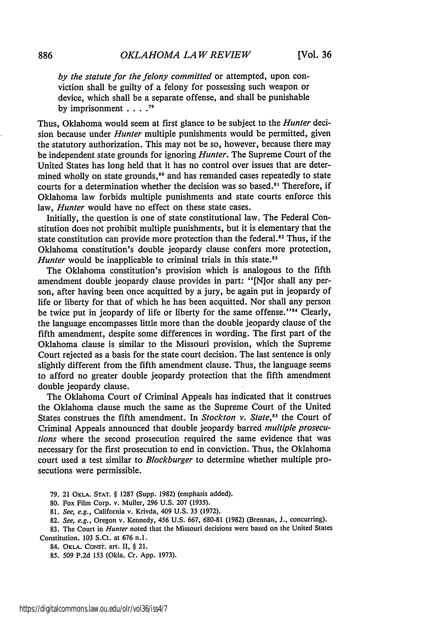*by the statute for the felony committed* or attempted, upon conviction shall be guilty of a felony for possessing such weapon or device, which shall be a separate offense, and shall be punishable by imprisonment **....** *19*

Thus, Oklahoma would seem at first glance to be subject to the *Hunter* decision because under *Hunter* multiple punishments would be permitted, given the statutory authorization. This may not be so, however, because there may be independent state grounds for ignoring *Hunter.* The Supreme Court of the United States has long held that it has no control over issues that are determined wholly on state grounds,<sup>80</sup> and has remanded cases repeatedly to state courts for a determination whether the decision was so based.<sup>81</sup> Therefore, if Oklahoma law forbids multiple punishments and state courts enforce this law, *Hunter* would have no effect on these state cases.

Initially, the question is one of state constitutional law. The Federal Constitution does not prohibit multiple punishments, but it is elementary that the state constitution can provide more protection than the federal.<sup>82</sup> Thus, if the Oklahoma constitution's double jeopardy clause confers more protection, *Hunter* would be inapplicable to criminal trials in this state.<sup>83</sup>

The Oklahoma constitution's provision which is analogous to the fifth amendment double jeopardy clause provides in part: "[N]or shall any person, after having been once acquitted by a jury, be again put in jeopardy of life or liberty for that of which he has been acquitted. Nor shall any person be twice put in jeopardy of life or liberty for the same offense."<sup>184</sup> Clearly, the language encompasses little more than the double jeopardy clause of the fifth amendment, despite some differences in wording. The first part of the Oklahoma clause is similar to the Missouri provision, which the Supreme Court rejected as a basis for the state court decision. The last sentence is only slightly different from the fifth amendment clause. Thus, the language seems to afford no greater double jeopardy protection that the fifth amendment double jeopardy clause.

The Oklahoma Court of Criminal Appeals has indicated that it construes the Oklahoma clause much the same as the Supreme Court of the United States construes the fifth amendment. In *Stockton v. State*,<sup>85</sup> the Court of Criminal Appeals announced that double jeopardy barred *multiple prosecutions* where the second prosecution required the same evidence that was necessary for the first prosecution to end in conviction. Thus, the Oklahoma court used a test similar to *Blockburger* to determine whether multiple prosecutions were permissible.

**79.** 21 OKLA. **STAT.** § 1287 (Supp. 1982) (emphasis added).

- **80.** Fox Film Corp. v. Muller, **296 U.S. 207 (1935).**
- 81. *See, e.g.,* California v. Krivda, 409 U.S. 33 (1972).
- 82. *See, e.g.,* Oregon v. Kennedy, 456 U.S. 667, 680-81 (1982) (Brennan, J., concurring).

83. The Court in *Hunter* noted that the Missouri decisions were based on the United States Constitution. **103** S.Ct. at **676 n.1.**

84. OKLA. **CONST.** art. **II,** § 21.

85. 509 **P.2d** 153 (Okla. Cr. **App. 1973).**